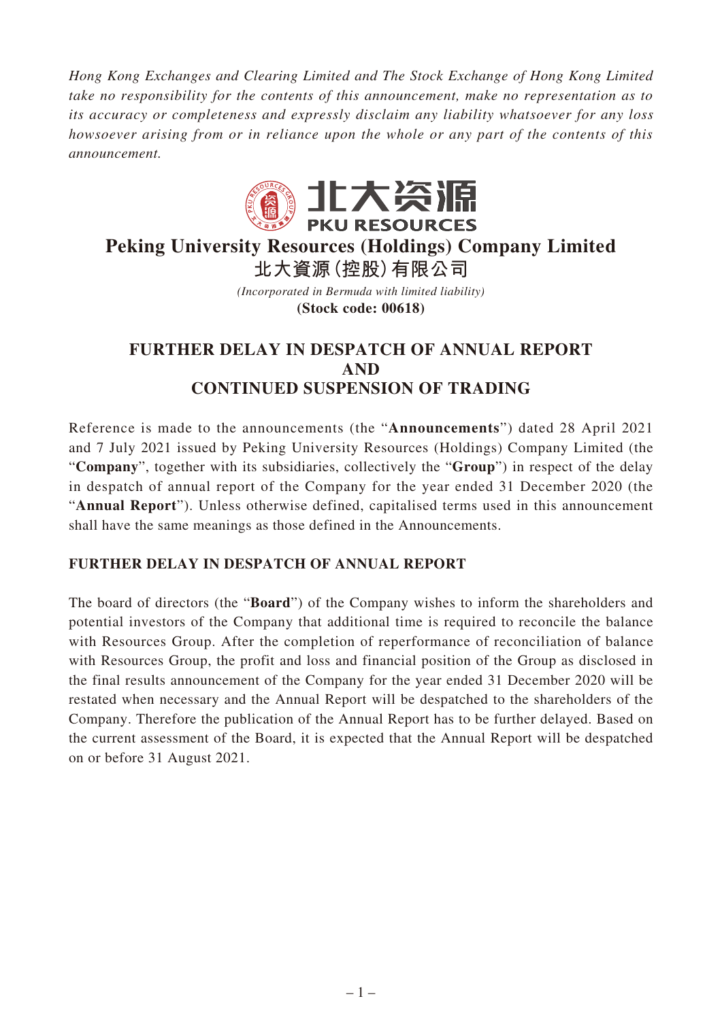*Hong Kong Exchanges and Clearing Limited and The Stock Exchange of Hong Kong Limited take no responsibility for the contents of this announcement, make no representation as to its accuracy or completeness and expressly disclaim any liability whatsoever for any loss howsoever arising from or in reliance upon the whole or any part of the contents of this announcement.*



## **Peking University Resources (Holdings) Company Limited 北大資源(控股)有限公司**

*(Incorporated in Bermuda with limited liability)* **(Stock code: 00618)**

## **FURTHER DELAY IN DESPATCH OF ANNUAL REPORT AND CONTINUED SUSPENSION OF TRADING**

Reference is made to the announcements (the "**Announcements**") dated 28 April 2021 and 7 July 2021 issued by Peking University Resources (Holdings) Company Limited (the "**Company**", together with its subsidiaries, collectively the "**Group**") in respect of the delay in despatch of annual report of the Company for the year ended 31 December 2020 (the "**Annual Report**"). Unless otherwise defined, capitalised terms used in this announcement shall have the same meanings as those defined in the Announcements.

## **FURTHER DELAY IN DESPATCH OF ANNUAL REPORT**

The board of directors (the "**Board**") of the Company wishes to inform the shareholders and potential investors of the Company that additional time is required to reconcile the balance with Resources Group. After the completion of reperformance of reconciliation of balance with Resources Group, the profit and loss and financial position of the Group as disclosed in the final results announcement of the Company for the year ended 31 December 2020 will be restated when necessary and the Annual Report will be despatched to the shareholders of the Company. Therefore the publication of the Annual Report has to be further delayed. Based on the current assessment of the Board, it is expected that the Annual Report will be despatched on or before 31 August 2021.